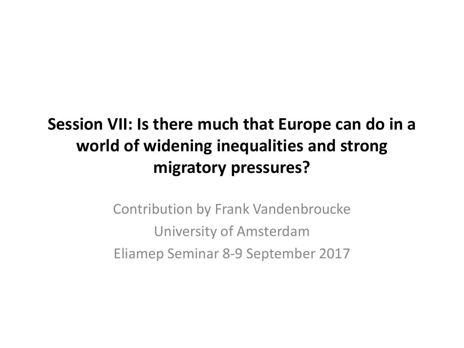# **Session VII: Is there much that Europe can do in a world of widening inequalities and strong migratory pressures?**

Contribution by Frank Vandenbroucke University of Amsterdam Eliamep Seminar 8-9 September 2017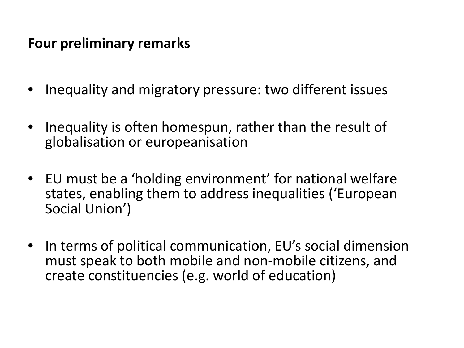### **Four preliminary remarks**

- Inequality and migratory pressure: two different issues
- Inequality is often homespun, rather than the result of globalisation or europeanisation
- EU must be a 'holding environment' for national welfare states, enabling them to address inequalities ('European Social Union')
- In terms of political communication, EU's social dimension must speak to both mobile and non-mobile citizens, and create constituencies (e.g. world of education)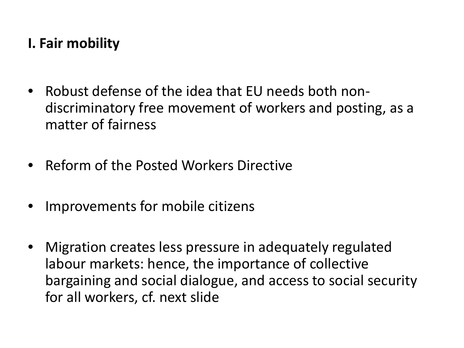## **I. Fair mobility**

- Robust defense of the idea that EU needs both nondiscriminatory free movement of workers and posting, as a matter of fairness
- Reform of the Posted Workers Directive
- Improvements for mobile citizens
- Migration creates less pressure in adequately regulated labour markets: hence, the importance of collective bargaining and social dialogue, and access to social security for all workers, cf. next slide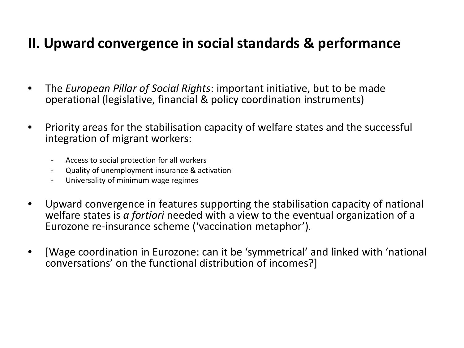### **II. Upward convergence in social standards & performance**

- The *European Pillar of Social Rights*: important initiative, but to be made operational (legislative, financial & policy coordination instruments)
- Priority areas for the stabilisation capacity of welfare states and the successful integration of migrant workers:
	- Access to social protection for all workers
	- Quality of unemployment insurance & activation
	- Universality of minimum wage regimes
- Upward convergence in features supporting the stabilisation capacity of national welfare states is *a fortiori* needed with a view to the eventual organization of a Eurozone re-insurance scheme ('vaccination metaphor').
- [Wage coordination in Eurozone: can it be 'symmetrical' and linked with 'national conversations' on the functional distribution of incomes?]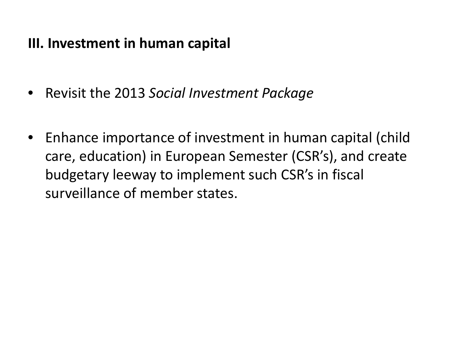### **III. Investment in human capital**

- Revisit the 2013 *Social Investment Package*
- Enhance importance of investment in human capital (child care, education) in European Semester (CSR's), and create budgetary leeway to implement such CSR's in fiscal surveillance of member states.